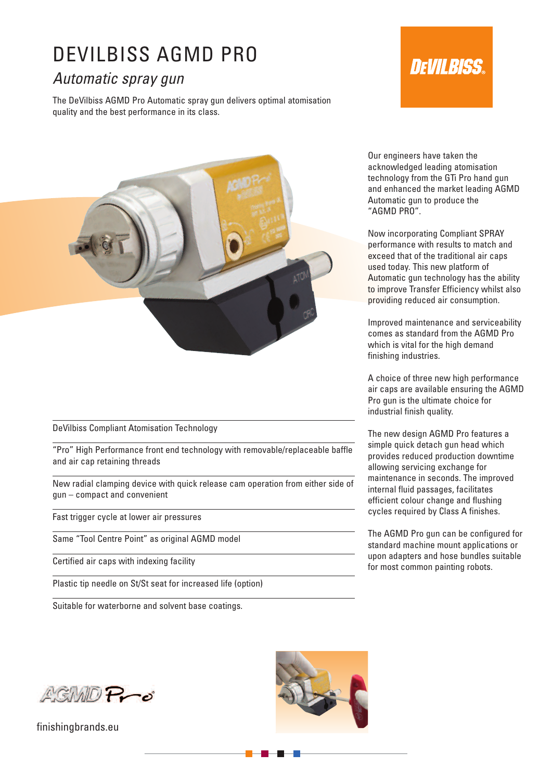## DEVILBISS AGMD PRO

### *Automatic spray gun*

The DeVilbiss AGMD Pro Automatic spray gun delivers optimal atomisation quality and the best performance in its class.

# **DEVIL BISS**



DeVilbiss Compliant Atomisation Technology

"Pro" High Performance front end technology with removable/replaceable baffle and air cap retaining threads

New radial clamping device with quick release cam operation from either side of gun – compact and convenient

Fast trigger cycle at lower air pressures

Same "Tool Centre Point" as original AGMD model

Certified air caps with indexing facility

Plastic tip needle on St/St seat for increased life (option)

Suitable for waterborne and solvent base coatings.

Our engineers have taken the acknowledged leading atomisation technology from the GTi Pro hand gun and enhanced the market leading AGMD Automatic gun to produce the "AGMD PRO".

Now incorporating Compliant SPRAY performance with results to match and exceed that of the traditional air caps used today. This new platform of Automatic gun technology has the ability to improve Transfer Efficiency whilst also providing reduced air consumption.

Improved maintenance and serviceability comes as standard from the AGMD Pro which is vital for the high demand finishing industries.

A choice of three new high performance air caps are available ensuring the AGMD Pro gun is the ultimate choice for industrial finish quality.

The new design AGMD Pro features a simple quick detach gun head which provides reduced production downtime allowing servicing exchange for maintenance in seconds. The improved internal fluid passages, facilitates efficient colour change and flushing cycles required by Class A finishes.

The AGMD Pro gun can be configured for standard machine mount applications or upon adapters and hose bundles suitable for most common painting robots.

AGIMO Pro

finishingbrands.eu